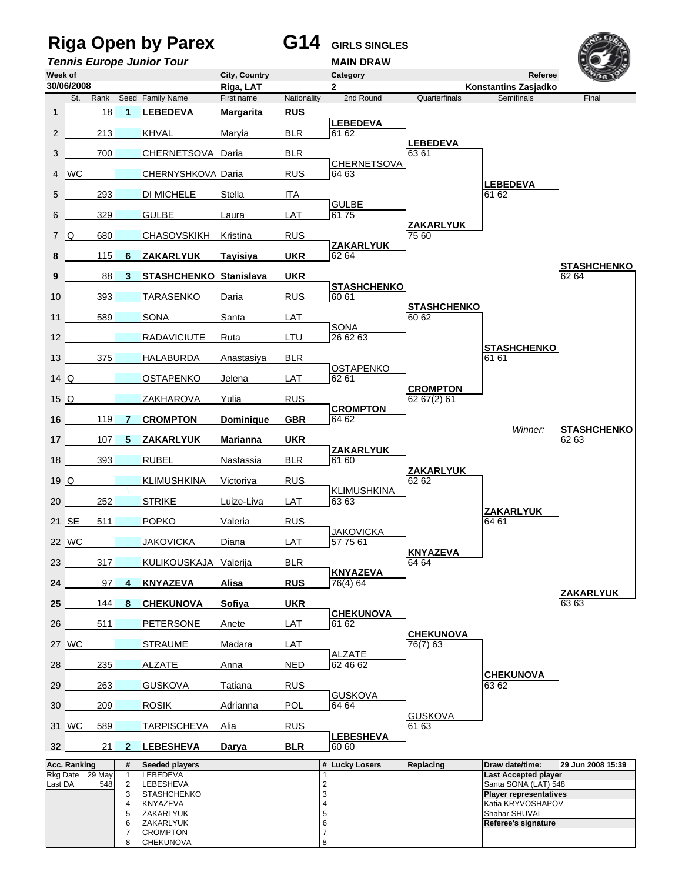## **Riga Open by Parex G14 GIRLS SINGLES**



**Tennis Europe Junior Tour MAIN DRAW Week of City, Country Category Referee Riga, LAT** 2 **2 19. 12. Konstantins Zasjadko**<br> **First name** Nationality 2nd Round Quarterfinals Semifinals St. Rank Seed Family Name First name Nationality 2nd Round Quarterfinals Semifinals **1** DA 18 **1 LEBEDEVA Margarita RUS** ELEBEDEVA<sup>BLR</sup><sub>6162</sub> 2 213 KHVAL Maryia BLR 61 62 Umpire *as* **LEBEDEVA** 3 700 CHERNETSOVA Daria BLR 63 61 CHERNETSOVA<br>RUS 64 63 4 WC **CHERNYSHKOVA Daria** LEBEDEVA 5 293 DI MICHELE Stella ITA **LAT** *b* **GULBE** 6 DA 329 16 GULBE Laura LAT 61 75 Umpire *bs* **ZAKARLYUK** 7 Q 680 CHASOVSKIKH Kristina RUS 75 60 UKR **ZAKARLYUK 8** 115 **6 ZAKARLYUK** Tayisiya Umpire *bs* **STASHCHENKO 9** 88 **3 STASHCHENKO Stanislava UKR** 62 64 RUS **STASHCHENKO** 10 393 TARASENKO Daria Umpire *as* **STASHCHENKO** 11 589 SONA Santa LAT 60 62 External **a** SONA<br>**26 62 63** 12 RADAVICIUTE Ruta Umpire *as* **STASHCHENKO** 13 DA 375 17 HALABURDA Anastasiya BLR 61 61 LAT **DESTAPENKO** 14 Q 0STAPENKO Jelena Umpire *bs* **CROMPTON** 15 Q 2AKHAROVA Yulia RUS 62 67(2) 61 GBR **CROMPTON 16** DA 119 **7 CROMPTON Dominique GBR** 64 62 *Winner:* **STASHCHENKO** 17 107 5 ZAKARLYUK Marianna UKR ELR **ZAKARLYUK** 18 393 RUBEL Nastassia Umpire *as* **ZAKARLYUK** 19 Q 27 KLIMUSHKINA Victoriya RUS 62 62 62 62 62 F **A KLIMUSHKINA**<br>
STRIKE Luize-Liva LAT 63 63 20 252 STRIKE Luize-Liva Umpire *as* **ZAKARLYUK** 21 SE 511 POPKO Valeria RUS (64 61 **LAT** JAKOVICKA 22 WC 31 JAKOVICKA Diana LAT 57 75 61 Umpire *bs* **KNYAZEVA** 23 317 KULIKOUSKAJA Valerija BLR 64 64 **RUS** *CONS RUS CONS CONS CONS CONS CONS CONS CONS CONS CONS CONS CONS CONS CONS CONS CONS CONS CONS CONS CONS CONS CONS CONS* **24 24 24 4 KNYAZEVA Alisa** Umpire *as* **ZAKARLYUK 25** 144 **8 CHEKUNOVA Sofiya** UKR LAT **CHEKUNOVA** 26 511 PETERSONE Anete LAT 61 62 CHEKUNOVA<br>76(7) 63 27 WC 3TRAUME Madara LAT <u>ALZATE</u><br>62 46 62 28 235 ALZATE Anna NED 62 46 62 Umpire *as* **CHEKUNOVA** 29 DA 263 13 GUSKOVA Tatiana RUS 63 62 POL
B<sub>04</sub> 64 64 30 209 ROSIK Adrianna POL 64 64 GUSKOVA<br>61 63 31 WC 589 TARPISCHEVA Alia 61 RUS BLR
BLR **BLR**6060 **32** 21 **2 LEBESHEVA** Darya Acc. Ranking **# Seeded players # Acc. Replacing Draw date/time: 29 Jun 2008 15:39** Rkg Date 29 May 1 LEBEDEVA 1 1<br>
Last DA 548 2 LEBESHEVA 1 2<br>
3 STASHCHENKO 1 3 3 3 3 2 Player representative: Last DA 548 2 LEBESHEVA 2 Santa SONA (LAT) 548 3 STASHCHENKO 3<br>4 KNYAZEVA 25 ZAKARLYUK<br>5 ZAKARLYUK 5 ZAKARLYUK 4 KNYAZEVA 1999 | 4 KNYAZEVA 1999 | 4 KATA 1999 | 4 KATA 1999 | 4 KATA 1999 | 4 KATA 1999 | 4 KATA 1999 | 4 KATA 1999 | 4 KATA 1999 | 4 KATA 1999 | 4 KATA 1999 | 4 KATA 1999 | 4 KATA 1999 | 4 KATA 1999 | 4 KATA 1999 | 4 KA 5 ZAKARLYUK 1999 - Shahar SHUVAL 1999 - Shahar SHUVAL 1999 - Shahar SHUVAL 1999 - Shahar SHUVAL 6 ZAKARLYUK 6 **Referee's signature** 7 CROMPTON 7 8 CHEKUNOVA 8 *8* **30/06/2008**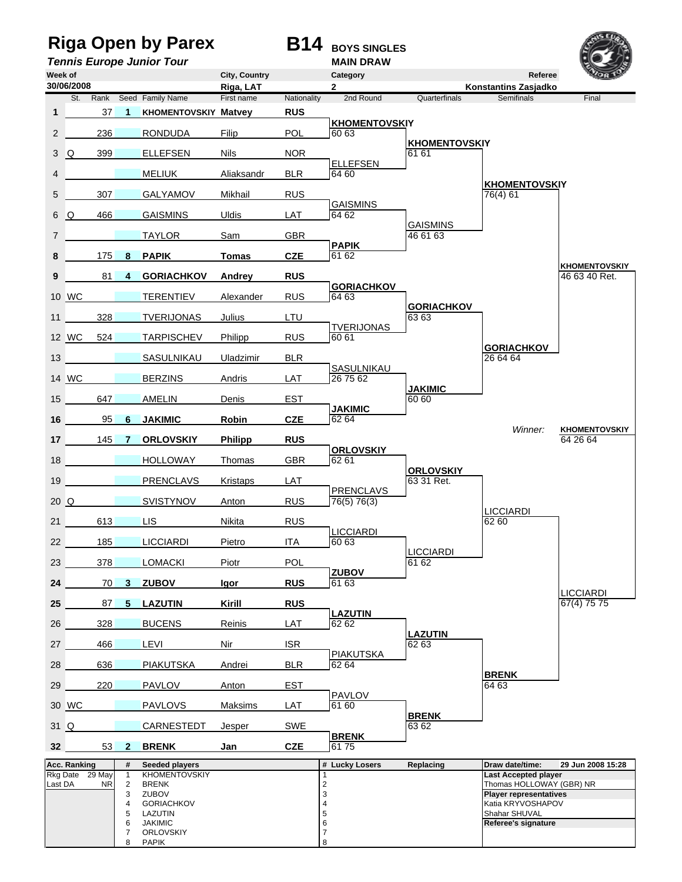**ORLOVSKIY** 



**Riga Open by Parex B14** BOYS SINGLES **Tennis Europe Junior Tour MAIN DRAW Week of City, Country Category Referee Riga, LAT** 2 **2 19. 12. Konstantins Zasjadko**<br> **First name** Nationality 2nd Round Quarterfinals Semifinals St. Rank Seed Family Name First name Nationality 2nd Round Quarterfinals Semifinals **1** DA 37 **1 KHOMENTOVSKIY Matvey RUS POL KHOMENTOVSKIY** 2 236 RONDUDA Filip Umpire *as* **KHOMENTOVSKIY** 3 Q 399 ELLEFSEN Nils NOR 61 61 61 ELLEFSEN<br>BLR 64 60 4 **DA 25 MELIUK** Aliaksandr KHOMENTOVSKIY<br>76(4) 61 5 307 GALYAMOV Mikhail RUS Example *b* GAISMINS 6 Q 466 GAISMINS Uldis GAISMINS TAYLOR Sam GBR 46 61 63 Example **PAPIK**<br>
GZE 6162 **8** 175 **8 PAPIK Tomas** Umpire *as* **KHOMENTOVSKIY 9 81 4 GORIACHKOV Andrey RUS RUS 186 83 40 Ret.** RUS **GORIACHKOV** 10 WC **32 TERENTIEV** Alexander Umpire *as* **GORIACHKOV** 11 328 TVERIJONAS Julius LTU 6363 **RUS** TVERIJONAS 12 WC 524 TARPISCHEV Philipp Umpire *as* **GORIACHKOV** 13 **DA 26 SASULNIKAU Uladzimir BLR** 26 64 64 Example **a** SASULNIKAU 14 WC BERZINS Andris Umpire *bs* **JAKIMIC** 15 647 AMELIN Denis EST 60 60 **CZE B**<sub>62 64</sub> **16** DA 95 **6 JAKIMIC Robin CZE** 62 64 *Winner:* **KHOMENTOVSKIY 17** 145 **7 ORLOVSKIY Philipp RUS RUS** 64 26 64 GBR *CORLOVSKIY* 18 **HOLLOWAY Thomas** GBR 62 61 Umpire *as* **ORLOVSKIY** 19 **DA 23 PRENCLAVS Kristaps LAT** 63 31 Ret. **RUS PRENCLAVS**<br>**76(5) 76(3)** 20 Q 3VISTYNOV Anton Umpire *b* LICCIARDI 21 613 LIS Nikita RUS 62 60 **LICCIARDI**<br>ITA 60.63 22 185 LICCIARDI Pietro ITA 60 63 LICCIARDI<br>61 62 23 378 LOMACKI Piotr POL **RUS** *B B B B B B B B B B B B B B B B B B B B B B B B B B B B B B B B B B B B* **24** 70 **3 ZUBOV** Igor LICCIARDI<br>67(4) 75 75 **25** 87 **5 LAZUTIN** Kirill RUS LAT **LAZUTIN** 26 328 BUCENS Reinis LAZUTIN<br>62 63 27 466 LEVI Nir ISR (62 63 PIAKUTSKA<br>BLR 62 64 28 636 PIAKUTSKA Andrei BLR 62 64 **BRENK**<br>64 63 29 DA 220 10 PAVLOV Anton EST 64 63 LAT **PAVLOV**<br>61 60 30 WC **PAVLOVS** Maksims LAT 61 60 **BRENK**<br>63 62 31 Q 28 CARNESTEDT Jesper SWE **CZE brenk 32 53 2 BRENK** Jan Acc. Ranking **# Seeded players # Acc. Replacing Draw date/time: 29 Jun 2008 15:28** Rkg Date 29 May 1 KHOMENTOVSKIY 1 1 Last Accepted player<br>
Last DA NR 2 BRENK 2<br>
3 ZUBOV 3 2000 3 Player representatives Last DA NR 2 BRENK 2 Thomas HOLLOWAY (GBR) NR 3 ZUBOV<br>4 GORIACHKOV<br>5 LAZUTIN 3 3 3 2UBOV RATIA RATIVOSHAPOV<br>5 LAZUTIN 4 GORIACHKOV | 4 | 4 | Katia KRYVOSHAPOV 5 LAZUTIN 5 **Shahar SHUVAL** 6 JAKIMIC 6 **Referee's signature 30/06/2008**

8 PAPIK 8 *8*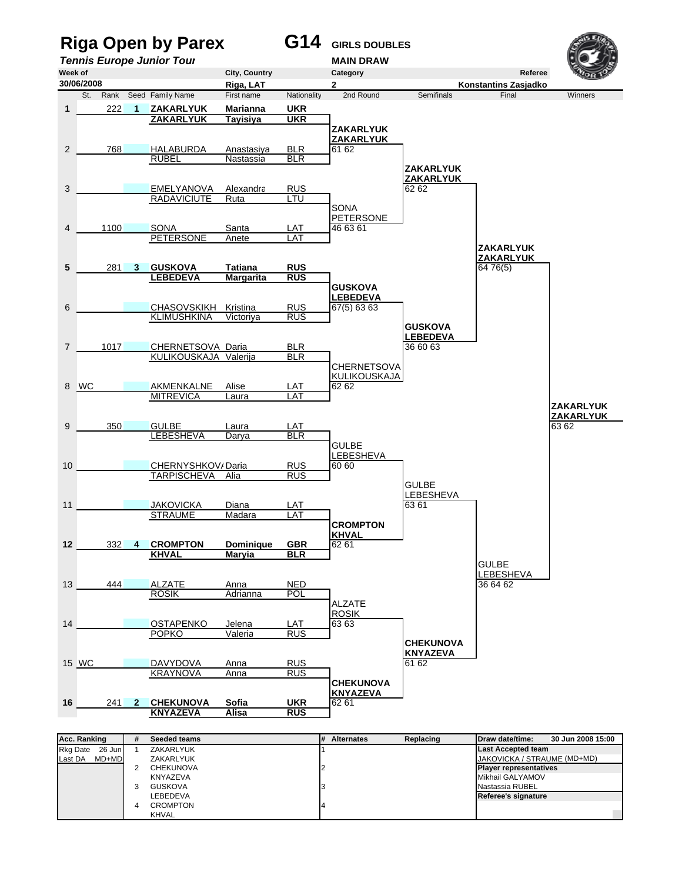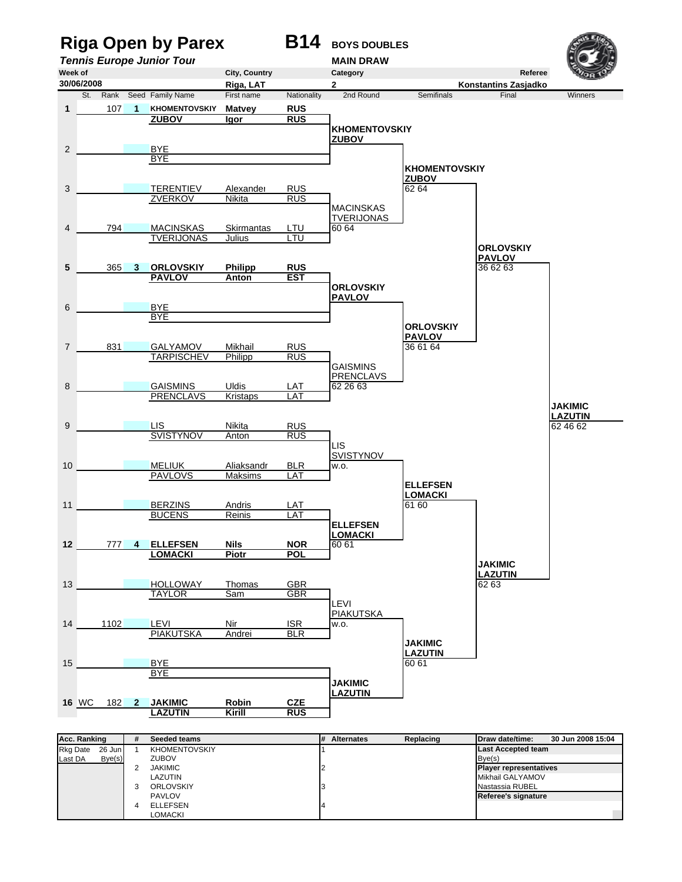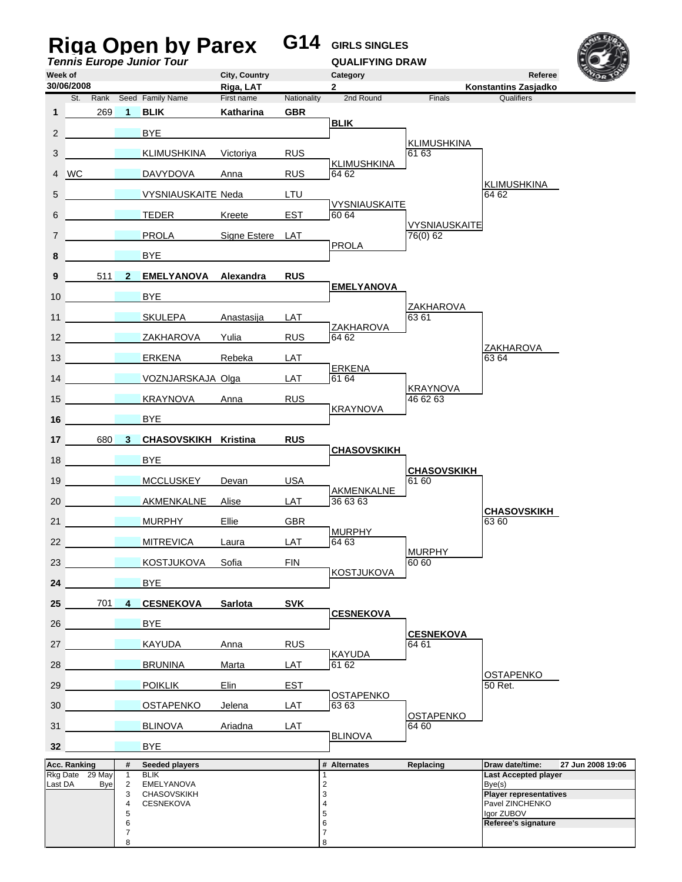|                  |                                  |                                   |                   | <b>Riga Open by Parex</b><br><b>Tennis Europe Junior Tour</b> |                            | G14         | <b>GIRLS SINGLES</b><br><b>QUALIFYING DRAW</b> |                             |                                         |                   |
|------------------|----------------------------------|-----------------------------------|-------------------|---------------------------------------------------------------|----------------------------|-------------|------------------------------------------------|-----------------------------|-----------------------------------------|-------------------|
|                  | Week of<br>30/06/2008            |                                   |                   |                                                               | City, Country<br>Riga, LAT |             | Category<br>2                                  |                             | Referee<br><b>Konstantins Zasjadko</b>  |                   |
|                  |                                  |                                   |                   | St. Rank Seed Family Name                                     | First name                 | Nationality | 2nd Round                                      | Finals                      | Qualifiers                              |                   |
| 1                |                                  | 269                               | $\blacksquare$ 1  | <b>BLIK</b>                                                   | Katharina                  | <b>GBR</b>  | <b>BLIK</b>                                    |                             |                                         |                   |
| $\overline{2}$   |                                  |                                   |                   | BYE                                                           |                            |             |                                                | <b>KLIMUSHKINA</b>          |                                         |                   |
| 3                |                                  |                                   |                   | KLIMUSHKINA                                                   | Victoriya                  | <b>RUS</b>  | KLIMUSHKINA                                    | 61 63                       |                                         |                   |
|                  | 4 WC                             |                                   |                   | DAVYDOVA                                                      | Anna                       | <b>RUS</b>  | 64 62                                          |                             | KLIMUSHKINA                             |                   |
| 5                |                                  |                                   |                   | <b>VYSNIAUSKAITE Neda</b>                                     |                            | LTU         | <b>VYSNIAUSKAITE</b>                           |                             | 64 62                                   |                   |
| 6                |                                  |                                   |                   | <b>TEDER</b>                                                  | Kreete                     | <b>EST</b>  | 60 64                                          | VYSNIAUSKAITE               |                                         |                   |
| $\overline{7}$   |                                  |                                   |                   | <b>PROLA</b>                                                  | Signe Estere LAT           |             | <b>PROLA</b>                                   | 76(0) 62                    |                                         |                   |
| 8                |                                  |                                   |                   | <b>BYE</b>                                                    |                            |             |                                                |                             |                                         |                   |
| 9                |                                  |                                   |                   | 511 2 EMELYANOVA Alexandra                                    |                            | <b>RUS</b>  | <b>EMELYANOVA</b>                              |                             |                                         |                   |
| 10 <sup>°</sup>  |                                  | <b>Contract Contract Contract</b> |                   | BYE                                                           |                            |             |                                                |                             |                                         |                   |
| 11               | <b>Contract Contract State</b>   |                                   |                   | SKULEPA Anastasija                                            |                            | LAT         |                                                | ZAKHAROVA<br>63 61          |                                         |                   |
| 12               | <b>Contract Contract</b>         |                                   |                   | ZAKHAROVA                                                     | Yulia                      | <b>RUS</b>  | ZAKHAROVA<br>64 62                             |                             |                                         |                   |
| 13 <sup>7</sup>  |                                  |                                   |                   | ERKENA                                                        | Rebeka                     | LAT         |                                                |                             | ZAKHAROVA<br>63 64                      |                   |
|                  | 14                               |                                   |                   | VOZNJARSKAJA Olga                                             |                            | LAT         | <b>ERKENA</b><br>61 64                         |                             |                                         |                   |
| 15 <sup>15</sup> | <b>Contract Contract State</b>   |                                   |                   | KRAYNOVA                                                      | Anna                       | <b>RUS</b>  |                                                | <b>KRAYNOVA</b><br>46 62 63 |                                         |                   |
| 16               |                                  |                                   |                   | <b>BYE</b>                                                    |                            |             | <b>KRAYNOVA</b>                                |                             |                                         |                   |
|                  |                                  |                                   |                   | 17 680 3 CHASOVSKIKH Kristina                                 |                            | <b>RUS</b>  |                                                |                             |                                         |                   |
| 18               |                                  |                                   |                   | <b>BYE</b>                                                    |                            |             | <b>CHASOVSKIKH</b>                             |                             |                                         |                   |
| 19 <sup>°</sup>  | <b>STATE OF BUILDING</b>         |                                   |                   | <b>MCCLUSKEY</b>                                              | Devan                      | <b>USA</b>  |                                                | <b>CHASOVSKIKH</b><br>61 60 |                                         |                   |
| 20               |                                  |                                   |                   | AKMENKALNE                                                    | Alise                      | LAT         | <b>AKMENKALNE</b><br>36 63 63                  |                             |                                         |                   |
| 21               |                                  |                                   |                   | <b>MURPHY</b>                                                 | Ellie                      | <b>GBR</b>  |                                                |                             | <b>CHASOVSKIKH</b><br>63 60             |                   |
|                  | 22                               |                                   |                   | <b>MITREVICA</b>                                              | Laura                      | LAT         | <b>MURPHY</b><br>64 63                         |                             |                                         |                   |
|                  | 23                               |                                   |                   | KOSTJUKOVA                                                    | Sofia                      | <b>FIN</b>  |                                                | <b>MURPHY</b><br>60 60      |                                         |                   |
| 24               |                                  |                                   |                   | <b>BYE</b>                                                    |                            |             | <b>KOSTJUKOVA</b>                              |                             |                                         |                   |
|                  |                                  |                                   |                   | 25 701 4 CESNEKOVA                                            | Sarlota                    | <b>SVK</b>  |                                                |                             |                                         |                   |
|                  | 26                               |                                   |                   | <b>BYE</b>                                                    |                            |             | <b>CESNEKOVA</b>                               |                             |                                         |                   |
|                  | 27                               |                                   |                   | KAYUDA                                                        |                            |             |                                                | <b>CESNEKOVA</b><br>64 61   |                                         |                   |
|                  |                                  |                                   |                   |                                                               | Anna                       | <b>RUS</b>  | <b>KAYUDA</b>                                  |                             |                                         |                   |
|                  | 28                               |                                   |                   | <b>BRUNINA</b>                                                | Marta                      | LAT         | 61 62                                          |                             | <b>OSTAPENKO</b>                        |                   |
| 29               | <b>Service Contract Contract</b> |                                   |                   | <b>POIKLIK</b>                                                | Elin                       | <b>EST</b>  | <b>OSTAPENKO</b>                               |                             | 50 Ret.                                 |                   |
|                  | 30 <sup>1</sup>                  |                                   |                   | <b>OSTAPENKO</b>                                              | Jelena                     | LAT         | 63 63                                          | <b>OSTAPENKO</b>            |                                         |                   |
|                  | 31                               |                                   |                   | <b>BLINOVA</b>                                                | Ariadna                    | LAT         | <b>BLINOVA</b>                                 | 64 60                       |                                         |                   |
|                  | 32                               |                                   |                   | <b>BYE</b>                                                    |                            |             |                                                |                             |                                         |                   |
|                  | Acc. Ranking<br>Rkg Date 29 May  |                                   | #<br>$\mathbf{1}$ | Seeded players<br><b>BLIK</b>                                 |                            |             | # Alternates<br>1                              | Replacing                   | Draw date/time:<br>Last Accepted player | 27 Jun 2008 19:06 |
|                  | Last DA                          | <b>Bye</b>                        | 2<br>3            | EMELYANOVA<br><b>CHASOVSKIKH</b>                              |                            |             | $\overline{c}$<br>3                            |                             | Bye(s)<br><b>Player representatives</b> |                   |
|                  |                                  |                                   | 4<br>5            | CESNEKOVA                                                     |                            |             | $\overline{4}$<br>5                            |                             | Pavel ZINCHENKO<br>lgor ZUBOV           |                   |
|                  |                                  |                                   | 6<br>7<br>8       |                                                               |                            |             | 6<br>7                                         |                             | Referee's signature                     |                   |